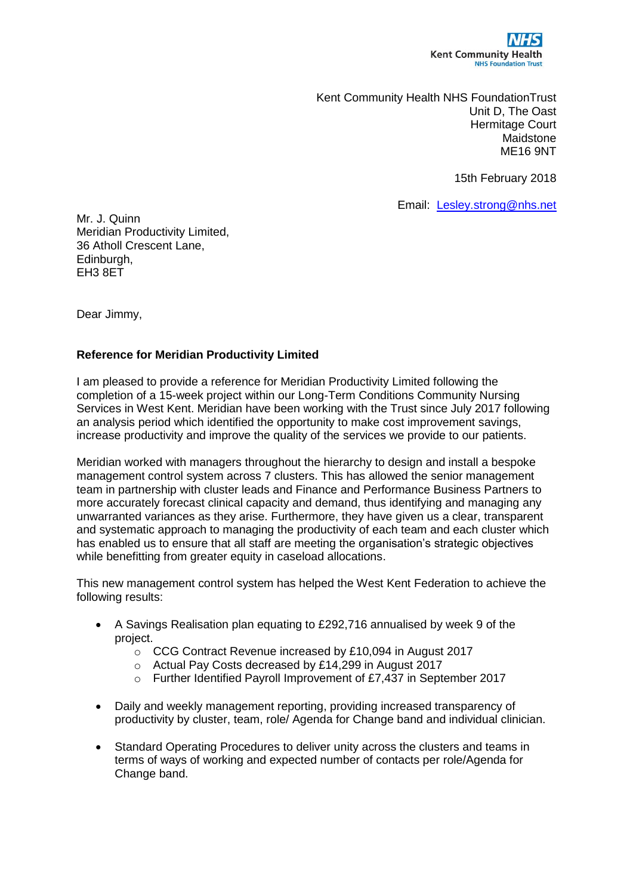

Kent Community Health NHS FoundationTrust Unit D, The Oast Hermitage Court Maidstone ME16 9NT

15th February 2018

Email: [Lesley.strong@nhs.net](mailto:Lesley.strong@nhs.net)

Mr. J. Quinn Meridian Productivity Limited, 36 Atholl Crescent Lane, Edinburgh, EH3 8ET

Dear Jimmy,

## **Reference for Meridian Productivity Limited**

I am pleased to provide a reference for Meridian Productivity Limited following the completion of a 15-week project within our Long-Term Conditions Community Nursing Services in West Kent. Meridian have been working with the Trust since July 2017 following an analysis period which identified the opportunity to make cost improvement savings, increase productivity and improve the quality of the services we provide to our patients.

Meridian worked with managers throughout the hierarchy to design and install a bespoke management control system across 7 clusters. This has allowed the senior management team in partnership with cluster leads and Finance and Performance Business Partners to more accurately forecast clinical capacity and demand, thus identifying and managing any unwarranted variances as they arise. Furthermore, they have given us a clear, transparent and systematic approach to managing the productivity of each team and each cluster which has enabled us to ensure that all staff are meeting the organisation's strategic objectives while benefitting from greater equity in caseload allocations.

This new management control system has helped the West Kent Federation to achieve the following results:

- A Savings Realisation plan equating to £292,716 annualised by week 9 of the project.
	- o CCG Contract Revenue increased by £10,094 in August 2017
	- o Actual Pay Costs decreased by £14,299 in August 2017
	- o Further Identified Payroll Improvement of £7,437 in September 2017
- Daily and weekly management reporting, providing increased transparency of productivity by cluster, team, role/ Agenda for Change band and individual clinician.
- Standard Operating Procedures to deliver unity across the clusters and teams in terms of ways of working and expected number of contacts per role/Agenda for Change band.